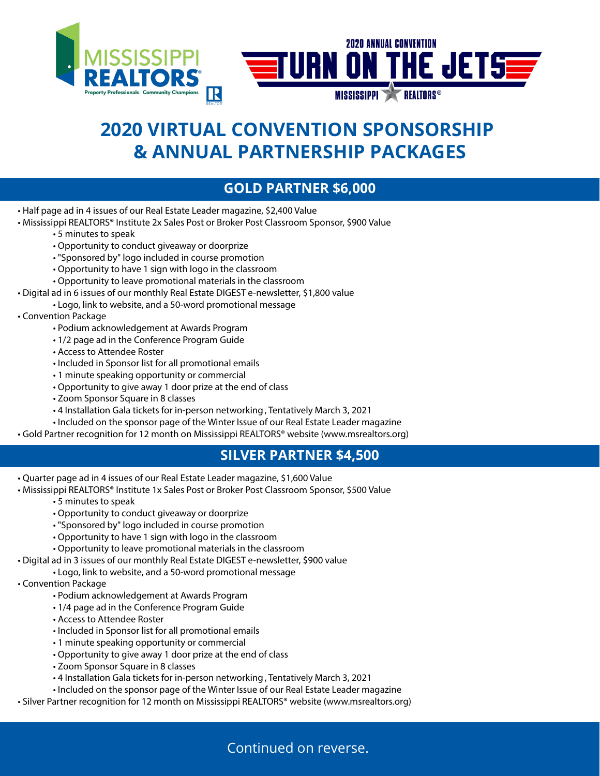

# **2020 VIRTUAL CONVENTION SPONSORSHIP & ANNUAL PARTNERSHIP PACKAGES**

### **GOLD PARTNER \$6,000**

- Half page ad in 4 issues of our Real Estate Leader magazine, \$2,400 Value
- Mississippi REALTORS® Institute 2x Sales Post or Broker Post Classroom Sponsor, \$900 Value
	- 5 minutes to speak
	- Opportunity to conduct giveaway or doorprize
	- "Sponsored by" logo included in course promotion
	- Opportunity to have 1 sign with logo in the classroom
	- Opportunity to leave promotional materials in the classroom
- Digital ad in 6 issues of our monthly Real Estate DIGEST e-newsletter, \$1,800 value
- Logo, link to website, and a 50-word promotional message
- Convention Package
	- Podium acknowledgement at Awards Program
	- 1/2 page ad in the Conference Program Guide
	- Access to Attendee Roster
	- Included in Sponsor list for all promotional emails
	- 1 minute speaking opportunity or commercial
	- Opportunity to give away 1 door prize at the end of class
	- Zoom Sponsor Square in 8 classes
	- 4 Installation Gala tickets for in-person networking , Tentatively March 3, 2021
	- Included on the sponsor page of the Winter Issue of our Real Estate Leader magazine
- Gold Partner recognition for 12 month on Mississippi REALTORS® website (www.msrealtors.org)

#### **SILVER PARTNER \$4,500**

- Quarter page ad in 4 issues of our Real Estate Leader magazine, \$1,600 Value
- Mississippi REALTORS® Institute 1x Sales Post or Broker Post Classroom Sponsor, \$500 Value
	- 5 minutes to speak
	- Opportunity to conduct giveaway or doorprize
	- "Sponsored by" logo included in course promotion
	- Opportunity to have 1 sign with logo in the classroom
	- Opportunity to leave promotional materials in the classroom
- Digital ad in 3 issues of our monthly Real Estate DIGEST e-newsletter, \$900 value
	- Logo, link to website, and a 50-word promotional message
- Convention Package
	- Podium acknowledgement at Awards Program
	- 1/4 page ad in the Conference Program Guide
	- Access to Attendee Roster
	- Included in Sponsor list for all promotional emails
	- 1 minute speaking opportunity or commercial
	- Opportunity to give away 1 door prize at the end of class
	- Zoom Sponsor Square in 8 classes
	- 4 Installation Gala tickets for in-person networking , Tentatively March 3, 2021
	- Included on the sponsor page of the Winter Issue of our Real Estate Leader magazine
- Silver Partner recognition for 12 month on Mississippi REALTORS® website (www.msrealtors.org)

Continued on reverse.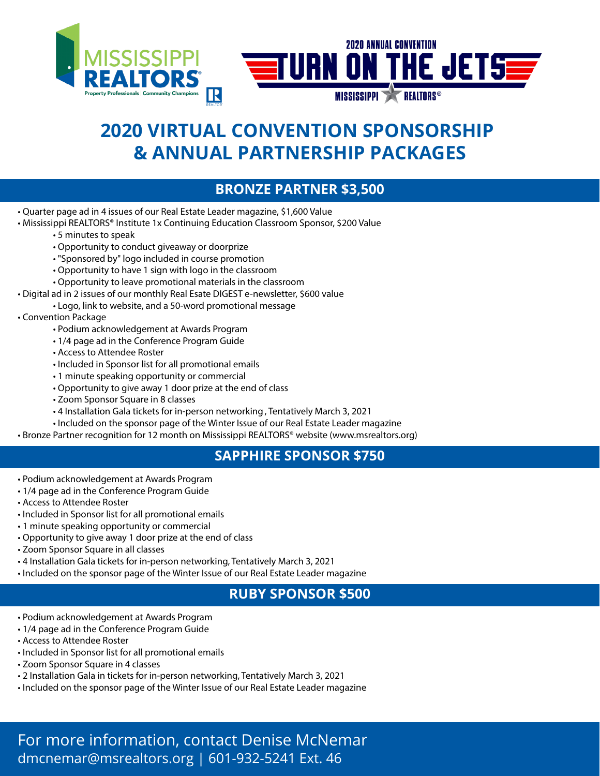

## **2020 VIRTUAL CONVENTION SPONSORSHIP & ANNUAL PARTNERSHIP PACKAGES**

#### **BRONZE PARTNER \$3,500**

- Quarter page ad in 4 issues of our Real Estate Leader magazine, \$1,600 Value
- Mississippi REALTORS® Institute 1x Continuing Education Classroom Sponsor, \$200 Value
	- 5 minutes to speak
	- Opportunity to conduct giveaway or doorprize
	- "Sponsored by" logo included in course promotion
	- Opportunity to have 1 sign with logo in the classroom
	- Opportunity to leave promotional materials in the classroom
- Digital ad in 2 issues of our monthly Real Esate DIGEST e-newsletter, \$600 value
- Logo, link to website, and a 50-word promotional message
- Convention Package
	- Podium acknowledgement at Awards Program
	- 1/4 page ad in the Conference Program Guide
	- Access to Attendee Roster
	- Included in Sponsor list for all promotional emails
	- 1 minute speaking opportunity or commercial
	- Opportunity to give away 1 door prize at the end of class
	- Zoom Sponsor Square in 8 classes
	- 4 Installation Gala tickets for in-person networking , Tentatively March 3, 2021
	- Included on the sponsor page of the Winter Issue of our Real Estate Leader magazine
- Bronze Partner recognition for 12 month on Mississippi REALTORS® website (www.msrealtors.org)

#### **SAPPHIRE SPONSOR \$750**

- Podium acknowledgement at Awards Program
- 1/4 page ad in the Conference Program Guide
- Access to Attendee Roster
- Included in Sponsor list for all promotional emails
- 1 minute speaking opportunity or commercial
- Opportunity to give away 1 door prize at the end of class
- Zoom Sponsor Square in all classes
- 4 Installation Gala tickets for in-person networking, Tentatively March 3, 2021
- Included on the sponsor page of the Winter Issue of our Real Estate Leader magazine

#### **RUBY SPONSOR \$500**

- Podium acknowledgement at Awards Program
- 1/4 page ad in the Conference Program Guide
- Access to Attendee Roster
- Included in Sponsor list for all promotional emails
- Zoom Sponsor Square in 4 classes
- 2 Installation Gala in tickets for in-person networking, Tentatively March 3, 2021
- Included on the sponsor page of the Winter Issue of our Real Estate Leader magazine

For more information, contact Denise McNemar dmcnemar@msrealtors.org | 601-932-5241 Ext. 46